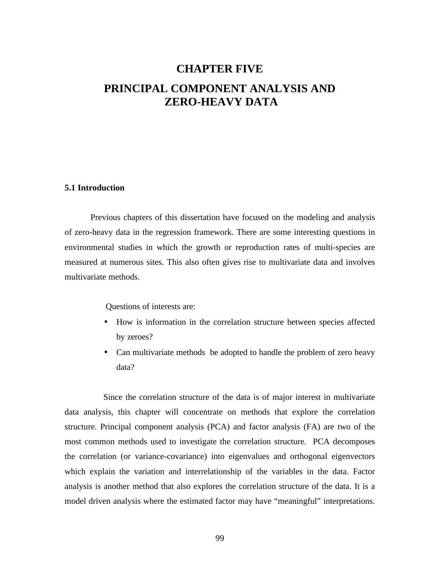# **CHAPTER FIVE PRINCIPAL COMPONENT ANALYSIS AND ZERO-HEAVY DATA**

# **5.1 Introduction**

Previous chapters of this dissertation have focused on the modeling and analysis of zero-heavy data in the regression framework. There are some interesting questions in environmental studies in which the growth or reproduction rates of multi-species are measured at numerous sites. This also often gives rise to multivariate data and involves multivariate methods.

Questions of interests are:

- How is information in the correlation structure between species affected by zeroes?
- Can multivariate methods be adopted to handle the problem of zero heavy data?

Since the correlation structure of the data is of major interest in multivariate data analysis, this chapter will concentrate on methods that explore the correlation structure. Principal component analysis (PCA) and factor analysis (FA) are two of the most common methods used to investigate the correlation structure. PCA decomposes the correlation (or variance-covariance) into eigenvalues and orthogonal eigenvectors which explain the variation and interrelationship of the variables in the data. Factor analysis is another method that also explores the correlation structure of the data. It is a model driven analysis where the estimated factor may have "meaningful" interpretations.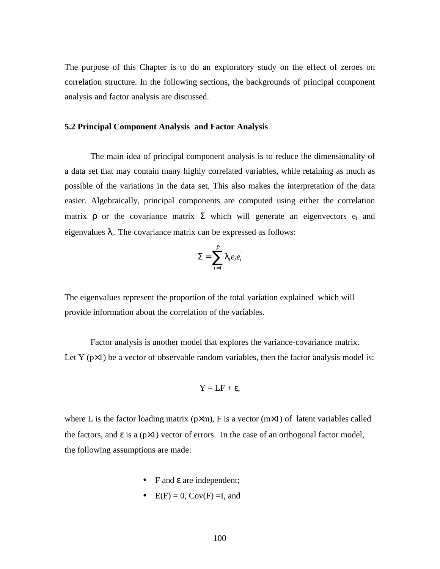The purpose of this Chapter is to do an exploratory study on the effect of zeroes on correlation structure. In the following sections, the backgrounds of principal component analysis and factor analysis are discussed.

## **5.2 Principal Component Analysis and Factor Analysis**

The main idea of principal component analysis is to reduce the dimensionality of a data set that may contain many highly correlated variables, while retaining as much as possible of the variations in the data set. This also makes the interpretation of the data easier. Algebraically, principal components are computed using either the correlation matrix  $\rho$  or the covariance matrix  $\Sigma$  which will generate an eigenvectors  $e_i$  and eigenvalues  $\lambda_i$ . The covariance matrix can be expressed as follows:

$$
\Sigma = \sum_{i=1}^p |e_i e_i|
$$

'

The eigenvalues represent the proportion of the total variation explained which will provide information about the correlation of the variables.

Factor analysis is another model that explores the variance-covariance matrix. Let Y  $(p \times 1)$  be a vector of observable random variables, then the factor analysis model is:

$$
Y = LF + \epsilon,
$$

where L is the factor loading matrix ( $p \times m$ ), F is a vector ( $m \times 1$ ) of latent variables called the factors, and  $\varepsilon$  is a ( $p \times 1$ ) vector of errors. In the case of an orthogonal factor model, the following assumptions are made:

- F and ε are independent;
- $E(F) = 0$ ,  $Cov(F) = I$ , and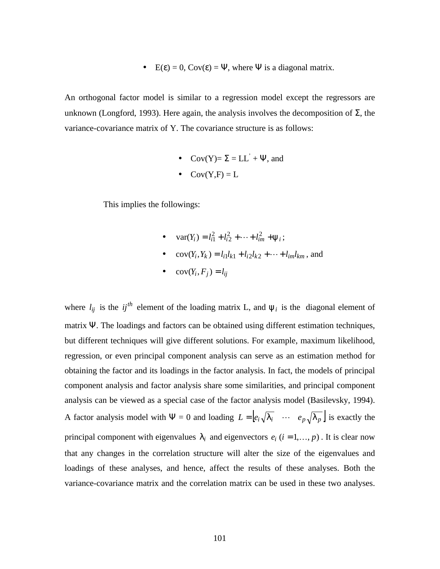•  $E(\varepsilon) = 0$ ,  $Cov(\varepsilon) = \Psi$ , where  $\Psi$  is a diagonal matrix.

An orthogonal factor model is similar to a regression model except the regressors are unknown (Longford, 1993). Here again, the analysis involves the decomposition of Σ, the variance-covariance matrix of Y. The covariance structure is as follows:

- Cov(Y)=  $\Sigma = LL^{'} + \Psi$ , and
- $\bullet$  Cov(Y,F) = L

This implies the followings:

- $var(Y_i) = l_{i1}^2 + l_{i2}^2 + \dots + l_{im}^2 + y_i;$
- $cov(Y_i, Y_k) = l_{i1}l_{k1} + l_{i2}l_{k2} + \cdots + l_{im}l_{km}$ , and
- $\bullet$   $cov(Y_i, F_j) = l_{ij}$

where  $l_{ij}$  is the  $ij^{th}$  element of the loading matrix L, and  $y_i$  is the diagonal element of matrix Ψ. The loadings and factors can be obtained using different estimation techniques, but different techniques will give different solutions. For example, maximum likelihood, regression, or even principal component analysis can serve as an estimation method for obtaining the factor and its loadings in the factor analysis. In fact, the models of principal component analysis and factor analysis share some similarities, and principal component analysis can be viewed as a special case of the factor analysis model (Basilevsky, 1994). A factor analysis model with  $\Psi = 0$  and loading  $L = |e_i \sqrt{1} \cdot \cdots \cdot e_p \sqrt{1} \cdot \cdot \cdot$  is exactly the principal component with eigenvalues  $\mathbf{l}_i$  and eigenvectors  $e_i$  ( $i = 1,..., p$ ). It is clear now that any changes in the correlation structure will alter the size of the eigenvalues and loadings of these analyses, and hence, affect the results of these analyses. Both the variance-covariance matrix and the correlation matrix can be used in these two analyses.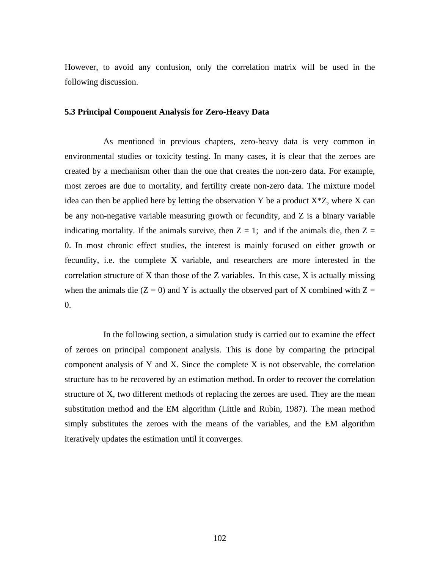However, to avoid any confusion, only the correlation matrix will be used in the following discussion.

# **5.3 Principal Component Analysis for Zero-Heavy Data**

As mentioned in previous chapters, zero-heavy data is very common in environmental studies or toxicity testing. In many cases, it is clear that the zeroes are created by a mechanism other than the one that creates the non-zero data. For example, most zeroes are due to mortality, and fertility create non-zero data. The mixture model idea can then be applied here by letting the observation Y be a product  $X^*Z$ , where X can be any non-negative variable measuring growth or fecundity, and Z is a binary variable indicating mortality. If the animals survive, then  $Z = 1$ ; and if the animals die, then  $Z =$ 0. In most chronic effect studies, the interest is mainly focused on either growth or fecundity, i.e. the complete X variable, and researchers are more interested in the correlation structure of X than those of the Z variables. In this case,  $X$  is actually missing when the animals die ( $Z = 0$ ) and Y is actually the observed part of X combined with  $Z =$ 0.

In the following section, a simulation study is carried out to examine the effect of zeroes on principal component analysis. This is done by comparing the principal component analysis of Y and X. Since the complete  $X$  is not observable, the correlation structure has to be recovered by an estimation method. In order to recover the correlation structure of X, two different methods of replacing the zeroes are used. They are the mean substitution method and the EM algorithm (Little and Rubin, 1987). The mean method simply substitutes the zeroes with the means of the variables, and the EM algorithm iteratively updates the estimation until it converges.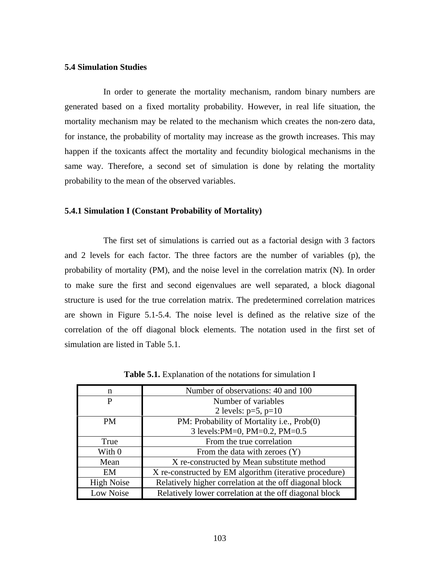# **5.4 Simulation Studies**

In order to generate the mortality mechanism, random binary numbers are generated based on a fixed mortality probability. However, in real life situation, the mortality mechanism may be related to the mechanism which creates the non-zero data, for instance, the probability of mortality may increase as the growth increases. This may happen if the toxicants affect the mortality and fecundity biological mechanisms in the same way. Therefore, a second set of simulation is done by relating the mortality probability to the mean of the observed variables.

#### **5.4.1 Simulation I (Constant Probability of Mortality)**

The first set of simulations is carried out as a factorial design with 3 factors and 2 levels for each factor. The three factors are the number of variables (p), the probability of mortality (PM), and the noise level in the correlation matrix (N). In order to make sure the first and second eigenvalues are well separated, a block diagonal structure is used for the true correlation matrix. The predetermined correlation matrices are shown in Figure 5.1-5.4. The noise level is defined as the relative size of the correlation of the off diagonal block elements. The notation used in the first set of simulation are listed in Table 5.1.

| n                 | Number of observations: 40 and 100                      |
|-------------------|---------------------------------------------------------|
| P                 | Number of variables                                     |
|                   | 2 levels: $p=5$ , $p=10$                                |
| <b>PM</b>         | PM: Probability of Mortality i.e., Prob(0)              |
|                   | 3 levels: PM=0, PM=0.2, PM=0.5                          |
| True              | From the true correlation                               |
| With 0            | From the data with zeroes $(Y)$                         |
| Mean              | X re-constructed by Mean substitute method              |
| EM                | X re-constructed by EM algorithm (iterative procedure)  |
| <b>High Noise</b> | Relatively higher correlation at the off diagonal block |
| Low Noise         | Relatively lower correlation at the off diagonal block  |

**Table 5.1.** Explanation of the notations for simulation I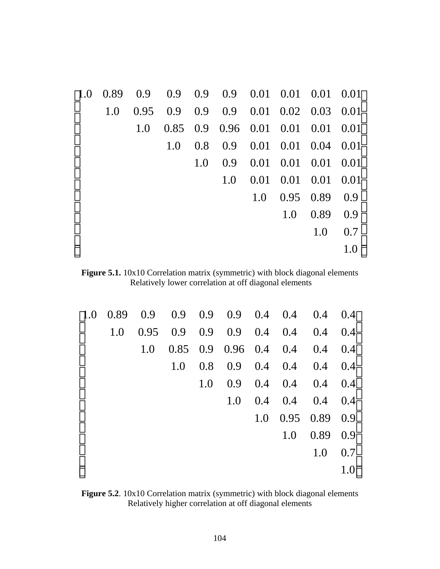| $\vert$ 1.0 | 0.89 | 0.9  |     |     | $0.9$ 0.9 0.9 0.01 0.01 0.01 0.01   |      |                            |           |      |
|-------------|------|------|-----|-----|-------------------------------------|------|----------------------------|-----------|------|
|             | 1.0  | 0.95 |     |     | $0.9$ 0.9 0.9 0.01 0.02 0.03 0.01   |      |                            |           |      |
|             |      | 1.0  |     |     | $0.85$ 0.9 0.96 0.01 0.01 0.01 0.01 |      |                            |           |      |
|             |      |      | 1.0 | 0.8 |                                     |      | $0.9$ $0.01$ $0.01$ $0.04$ |           | 0.01 |
|             |      |      |     | 1.0 | 0.9                                 |      | $0.01$ $0.01$ $0.01$       |           | 0.01 |
|             |      |      |     |     | 1.0                                 | 0.01 | $0.01$ 0.01                |           | 0.01 |
|             |      |      |     |     |                                     | 1.0  |                            | 0.95 0.89 | 0.9  |
|             |      |      |     |     |                                     |      | 1.0                        | 0.89      | 0.9  |
|             |      |      |     |     |                                     |      |                            | 1.0       | 0.7  |
|             |      |      |     |     |                                     |      |                            |           |      |

Figure 5.1. 10x10 Correlation matrix (symmetric) with block diagonal elements Relatively lower correlation at off diagonal elements

| $\vert 1.0 \vert$ |     |     | $0.89$ 0.9 0.9 0.9 0.9 0.4 0.4 0.4 0.4 |     |     |     |               |                             |     |
|-------------------|-----|-----|----------------------------------------|-----|-----|-----|---------------|-----------------------------|-----|
|                   | 1.0 |     | $0.95$ 0.9 0.9 0.9 0.4 0.4 0.4 0.4     |     |     |     |               |                             |     |
|                   |     | 1.0 |                                        |     |     |     |               | $0.85$ 0.9 0.96 0.4 0.4 0.4 | 0.4 |
|                   |     |     | 1.0                                    | 0.8 |     |     | $0.9$ 0.4 0.4 | 0.4                         | 0.4 |
|                   |     |     |                                        | 1.0 |     |     |               | $0.9$ 0.4 0.4 0.4 0.4       |     |
|                   |     |     |                                        |     | 1.0 | 0.4 | 0.4           | 0.4                         | 0.4 |
|                   |     |     |                                        |     |     | 1.0 |               | $0.95$ 0.89 0.9             |     |
|                   |     |     |                                        |     |     |     | 1.0           | 0.89                        | 0.9 |
|                   |     |     |                                        |     |     |     |               | 1.0                         | 0.7 |
|                   |     |     |                                        |     |     |     |               |                             |     |

Figure 5.2. 10x10 Correlation matrix (symmetric) with block diagonal elements Relatively higher correlation at off diagonal elements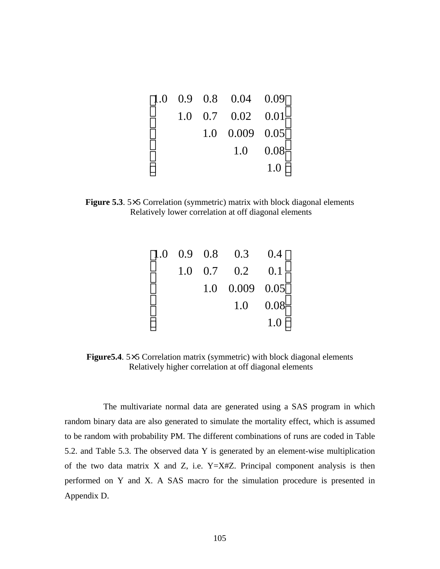|  | $\begin{bmatrix} 1.0 & 0.9 & 0.8 & 0.04 & 0.09 \end{bmatrix}$ |              |
|--|---------------------------------------------------------------|--------------|
|  | 1.0 0.7 0.02 0.01                                             |              |
|  | $1.0 \quad 0.009 \quad 0.05$                                  |              |
|  |                                                               | $1.0 \ 0.08$ |
|  |                                                               | 1.0          |

**Figure 5.3.** 5×5 Correlation (symmetric) matrix with block diagonal elements Relatively lower correlation at off diagonal elements

|  | $\begin{bmatrix} 1.0 & 0.9 & 0.8 & 0.3 & 0.4 \end{bmatrix}$ |      |
|--|-------------------------------------------------------------|------|
|  | $1.0 \quad 0.7 \quad 0.2 \quad 0.1$                         |      |
|  | $1.0$ 0.009 0.05                                            |      |
|  | 1.0                                                         | 0.08 |
|  |                                                             | 1.0  |

**Figure5.4**. 5×5 Correlation matrix (symmetric) with block diagonal elements Relatively higher correlation at off diagonal elements

The multivariate normal data are generated using a SAS program in which random binary data are also generated to simulate the mortality effect, which is assumed to be random with probability PM. The different combinations of runs are coded in Table 5.2. and Table 5.3. The observed data Y is generated by an element-wise multiplication of the two data matrix  $X$  and  $Z$ , i.e. Y=X#Z. Principal component analysis is then performed on Y and X. A SAS macro for the simulation procedure is presented in Appendix D.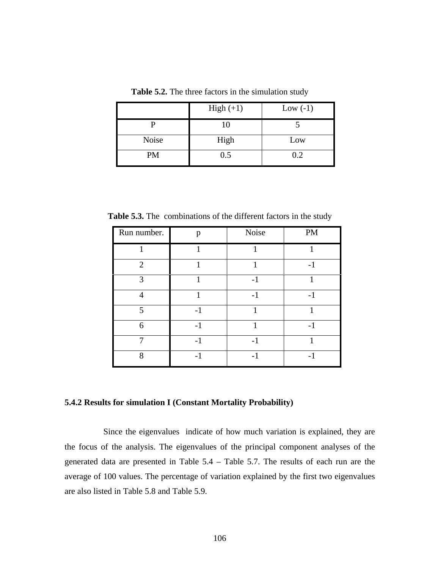|       | High $(+1)$ | Low $(-1)$ |
|-------|-------------|------------|
|       | 10          |            |
| Noise | High        | Low        |
| PM    | 0.5         | 0.2        |

**Table 5.2.** The three factors in the simulation study

**Table 5.3.** The combinations of the different factors in the study

| Run number.             | p    | Noise | PM   |
|-------------------------|------|-------|------|
|                         |      |       |      |
| $\overline{2}$          |      |       | $-1$ |
| $\mathcal{R}$           |      | $-1$  |      |
|                         |      | $-1$  | $-1$ |
| $\overline{\mathbf{z}}$ | $-1$ |       |      |
| 6                       | -1   |       | $-1$ |
|                         | - 1  | - 1   |      |
| 8                       | $-1$ |       | $-1$ |

#### **5.4.2 Results for simulation I (Constant Mortality Probability)**

Since the eigenvalues indicate of how much variation is explained, they are the focus of the analysis. The eigenvalues of the principal component analyses of the generated data are presented in Table 5.4 – Table 5.7. The results of each run are the average of 100 values. The percentage of variation explained by the first two eigenvalues are also listed in Table 5.8 and Table 5.9.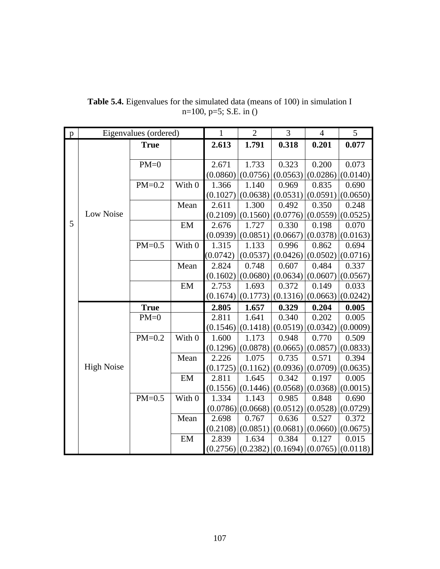| $\mathbf{p}$ |                   | Eigenvalues (ordered) |        | $\mathbf{1}$ | $\overline{2}$        | 3        | $\overline{4}$ | 5        |
|--------------|-------------------|-----------------------|--------|--------------|-----------------------|----------|----------------|----------|
|              |                   | <b>True</b>           |        | 2.613        | 1.791                 | 0.318    | 0.201          | 0.077    |
|              |                   |                       |        |              |                       |          |                |          |
|              |                   | $PM=0$                |        | 2.671        | 1.733                 | 0.323    | 0.200          | 0.073    |
|              |                   |                       |        | (0.0860)     | (0.0756)              | (0.0563) | (0.0286)       | (0.0140) |
|              |                   | $PM=0.2$              | With 0 | 1.366        | 1.140                 | 0.969    | 0.835          | 0.690    |
|              |                   |                       |        | (0.1027)     | (0.0638)              | (0.0531) | (0.0591)       | (0.0650) |
|              |                   |                       | Mean   | 2.611        | 1.300                 | 0.492    | 0.350          | 0.248    |
|              | Low Noise         |                       |        | (0.2109)     | (0.1560)              | (0.0776) | (0.0559)       | (0.0525) |
| 5            |                   |                       | EM     | 2.676        | 1.727                 | 0.330    | 0.198          | 0.070    |
|              |                   |                       |        | (0.0939)     | (0.0851)              | (0.0667) | (0.0378)       | (0.0163) |
|              |                   | $PM=0.5$              | With 0 | 1.315        | 1.133                 | 0.996    | 0.862          | 0.694    |
|              |                   |                       |        | (0.0742)     | (0.0537)              | (0.0426) | (0.0502)       | (0.0716) |
|              |                   |                       | Mean   | 2.824        | 0.748                 | 0.607    | 0.484          | 0.337    |
|              |                   |                       |        | (0.1602)     | (0.0680)              | (0.0634) | (0.0607)       | (0.0567) |
|              |                   |                       | EM     | 2.753        | 1.693                 | 0.372    | 0.149          | 0.033    |
|              |                   |                       |        |              | $(0.1674)$ $(0.1773)$ | (0.1316) | (0.0663)       | (0.0242) |
|              |                   | <b>True</b>           |        | 2.805        | 1.657                 | 0.329    | 0.204          | 0.005    |
|              |                   | $PM=0$                |        | 2.811        | 1.641                 | 0.340    | 0.202          | 0.005    |
|              |                   |                       |        |              | $(0.1546)$ $(0.1418)$ | (0.0519) | (0.0342)       | (0.0009) |
|              |                   | $PM=0.2$              | With 0 | 1.600        | 1.173                 | 0.948    | 0.770          | 0.509    |
|              |                   |                       |        | (0.1296)     | (0.0878)              | (0.0665) | (0.0857)       | (0.0833) |
|              |                   |                       | Mean   | 2.226        | 1.075                 | 0.735    | 0.571          | 0.394    |
|              | <b>High Noise</b> |                       |        | (0.1725)     | (0.1162)              | (0.0936) | (0.0709)       | (0.0635) |
|              |                   |                       | EM     | 2.811        | 1.645                 | 0.342    | 0.197          | 0.005    |
|              |                   |                       |        | (0.1556)     | (0.1446)              | (0.0568) | (0.0368)       | (0.0015) |
|              |                   | $PM=0.5$              | With 0 | 1.334        | 1.143                 | 0.985    | 0.848          | 0.690    |
|              |                   |                       |        | (0.0786)     | (0.0668)              | (0.0512) | (0.0528)       | (0.0729) |
|              |                   |                       | Mean   | 2.698        | 0.767                 | 0.636    | 0.527          | 0.372    |
|              |                   |                       |        | (0.2108)     | (0.0851)              | (0.0681) | (0.0660)       | (0.0675) |
|              |                   |                       | EM     | 2.839        | 1.634                 | 0.384    | 0.127          | 0.015    |
|              |                   |                       |        | (0.2756)     | (0.2382)              | (0.1694) | (0.0765)       | (0.0118) |

**Table 5.4.** Eigenvalues for the simulated data (means of 100) in simulation I n=100, p=5; S.E. in ()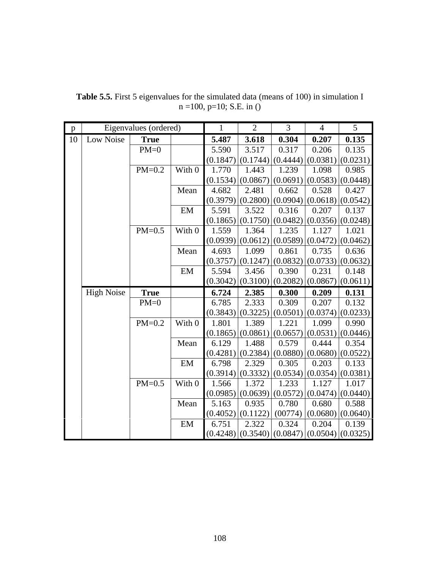| p  |                   | Eigenvalues (ordered) |        | $\mathbf{1}$ | $\overline{2}$        | 3        | $\overline{4}$ | 5                     |
|----|-------------------|-----------------------|--------|--------------|-----------------------|----------|----------------|-----------------------|
| 10 | Low Noise         | <b>True</b>           |        | 5.487        | 3.618                 | 0.304    | 0.207          | 0.135                 |
|    |                   | $PM=0$                |        | 5.590        | 3.517                 | 0.317    | 0.206          | 0.135                 |
|    |                   |                       |        | (0.1847)     | (0.1744)              | (0.4444) | (0.0381)       | (0.0231)              |
|    |                   | $PM=0.2$              | With 0 | 1.770        | 1.443                 | 1.239    | 1.098          | 0.985                 |
|    |                   |                       |        | (0.1534)     | (0.0867)              | (0.0691) | (0.0583)       | (0.0448)              |
|    |                   |                       | Mean   | 4.682        | 2.481                 | 0.662    | 0.528          | 0.427                 |
|    |                   |                       |        | (0.3979)     | (0.2800)              | (0.0904) |                | $(0.0618)$ (0.0542)   |
|    |                   |                       | EM     | 5.591        | 3.522                 | 0.316    | 0.207          | 0.137                 |
|    |                   |                       |        | (0.1865)     | (0.1750)              | (0.0482) | (0.0356)       | (0.0248)              |
|    |                   | $PM=0.5$              | With 0 | 1.559        | 1.364                 | 1.235    | 1.127          | 1.021                 |
|    |                   |                       |        | (0.0939)     | (0.0612)              | (0.0589) | (0.0472)       | (0.0462)              |
|    |                   |                       | Mean   | 4.693        | 1.099                 | 0.861    | 0.735          | 0.636                 |
|    |                   |                       |        | (0.3757)     | (0.1247)              | (0.0832) | (0.0733)       | (0.0632)              |
|    |                   |                       | EM     | 5.594        | 3.456                 | 0.390    | 0.231          | 0.148                 |
|    |                   |                       |        | (0.3042)     | (0.3100)              | (0.2082) | (0.0867)       | (0.0611)              |
|    | <b>High Noise</b> | <b>True</b>           |        | 6.724        | 2.385                 | 0.300    | 0.209          | 0.131                 |
|    |                   | $PM=0$                |        | 6.785        | 2.333                 | 0.309    | 0.207          | 0.132                 |
|    |                   |                       |        | (0.3843)     | (0.3225)              | (0.0501) | (0.0374)       | (0.0233)              |
|    |                   | $PM=0.2$              | With 0 | 1.801        | 1.389                 | 1.221    | 1.099          | 0.990                 |
|    |                   |                       |        | (0.1865)     | (0.0861)              | (0.0657) | (0.0531)       | (0.0446)              |
|    |                   |                       | Mean   | 6.129        | 1.488                 | 0.579    | 0.444          | 0.354                 |
|    |                   |                       |        | (0.4281)     | (0.2384)              | (0.0880) | (0.0680)       | (0.0522)              |
|    |                   |                       | EM     | 6.798        | 2.329                 | 0.305    | 0.203          | 0.133                 |
|    |                   |                       |        | (0.3914)     | (0.3332)              | (0.0534) | (0.0354)       | (0.0381)              |
|    |                   | $PM=0.5$              | With 0 | 1.566        | 1.372                 | 1.233    | 1.127          | 1.017                 |
|    |                   |                       |        | (0.0985)     | (0.0639)              | (0.0572) | (0.0474)       | (0.0440)              |
|    |                   |                       | Mean   | 5.163        | 0.935                 | 0.780    | 0.680          | 0.588                 |
|    |                   |                       |        | (0.4052)     | (0.1122)              | (00774)  | (0.0680)       | (0.0640)              |
|    |                   |                       | EM     | 6.751        | 2.322                 | 0.324    | 0.204          | 0.139                 |
|    |                   |                       |        |              | $(0.4248)$ $(0.3540)$ | (0.0847) |                | $(0.0504)$ $(0.0325)$ |

**Table 5.5.** First 5 eigenvalues for the simulated data (means of 100) in simulation I n =100, p=10; S.E. in ()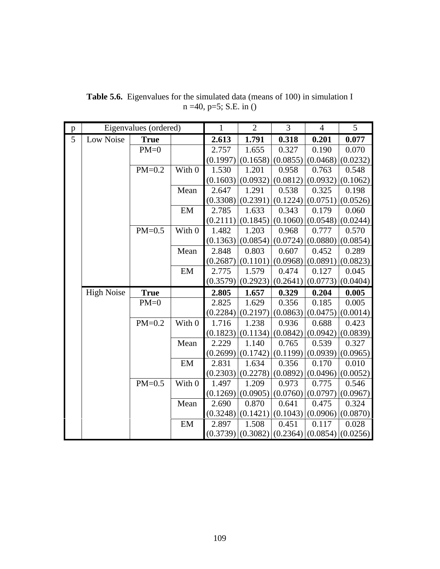| p |                   | Eigenvalues (ordered) |        | $\mathbf{1}$ | $\overline{2}$ | $\overline{3}$ | $\overline{4}$ | 5                     |
|---|-------------------|-----------------------|--------|--------------|----------------|----------------|----------------|-----------------------|
| 5 | Low Noise         | <b>True</b>           |        | 2.613        | 1.791          | 0.318          | 0.201          | 0.077                 |
|   |                   | $PM=0$                |        | 2.757        | 1.655          | 0.327          | 0.190          | 0.070                 |
|   |                   |                       |        | (0.1997)     | (0.1658)       | (0.0855)       | (0.0468)       | (0.0232)              |
|   |                   | $PM=0.2$              | With 0 | 1.530        | 1.201          | 0.958          | 0.763          | 0.548                 |
|   |                   |                       |        | (0.1603)     | (0.0932)       | (0.0812)       | (0.0932)       | (0.1062)              |
|   |                   |                       | Mean   | 2.647        | 1.291          | 0.538          | 0.325          | 0.198                 |
|   |                   |                       |        | (0.3308)     | (0.2391)       | (0.1224)       | (0.0751)       | (0.0526)              |
|   |                   |                       | EM     | 2.785        | 1.633          | 0.343          | 0.179          | 0.060                 |
|   |                   |                       |        | (0.2111)     | (0.1845)       | (0.1060)       | (0.0548)       | (0.0244)              |
|   |                   | $PM=0.5$              | With 0 | 1.482        | 1.203          | 0.968          | 0.777          | 0.570                 |
|   |                   |                       |        | (0.1363)     | (0.0854)       | (0.0724)       | (0.0880)       | (0.0854)              |
|   |                   |                       | Mean   | 2.848        | 0.803          | 0.607          | 0.452          | 0.289                 |
|   |                   |                       |        | (0.2687)     | (0.1101)       | (0.0968)       | (0.0891)       | (0.0823)              |
|   |                   |                       | EM     | 2.775        | 1.579          | 0.474          | 0.127          | 0.045                 |
|   |                   |                       |        | (0.3579)     | (0.2923)       | (0.2641)       | (0.0773)       | (0.0404)              |
|   | <b>High Noise</b> | <b>True</b>           |        | 2.805        | 1.657          | 0.329          | 0.204          | 0.005                 |
|   |                   | $PM=0$                |        | 2.825        | 1.629          | 0.356          | 0.185          | 0.005                 |
|   |                   |                       |        | (0.2284)     | (0.2197)       | (0.0863)       | (0.0475)       | (0.0014)              |
|   |                   | $PM=0.2$              | With 0 | 1.716        | 1.238          | 0.936          | 0.688          | 0.423                 |
|   |                   |                       |        | (0.1823)     | (0.1134)       | (0.0842)       | (0.0942)       | (0.0839)              |
|   |                   |                       | Mean   | 2.229        | 1.140          | 0.765          | 0.539          | 0.327                 |
|   |                   |                       |        | (0.2699)     | (0.1742)       | (0.1199)       |                | $(0.0939)$ $(0.0965)$ |
|   |                   |                       | EM     | 2.831        | 1.634          | 0.356          | 0.170          | 0.010                 |
|   |                   |                       |        | (0.2303)     | (0.2278)       | (0.0892)       | (0.0496)       | (0.0052)              |
|   |                   | $PM=0.5$              | With 0 | 1.497        | 1.209          | 0.973          | 0.775          | 0.546                 |
|   |                   |                       |        | (0.1269)     | (0.0905)       | (0.0760)       | (0.0797)       | (0.0967)              |
|   |                   |                       | Mean   | 2.690        | 0.870          | 0.641          | 0.475          | 0.324                 |
|   |                   |                       |        | (0.3248)     | (0.1421)       | (0.1043)       | (0.0906)       | (0.0870)              |
|   |                   |                       | EM     | 2.897        | 1.508          | 0.451          | 0.117          | 0.028                 |
|   |                   |                       |        | (0.3739)     | (0.3082)       | (0.2364)       |                | $(0.0854)$ (0.0256)   |

**Table 5.6.** Eigenvalues for the simulated data (means of 100) in simulation I n =40, p=5; S.E. in ()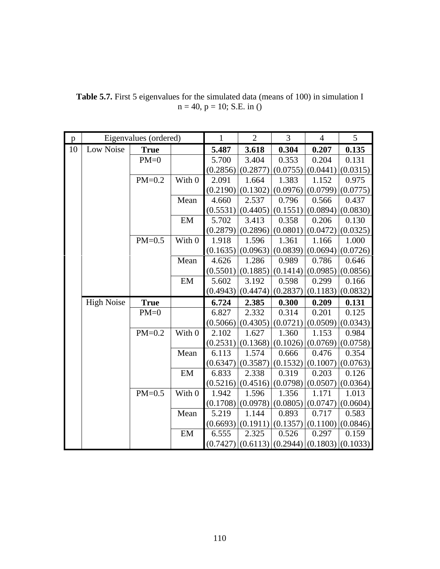| p  |                   | Eigenvalues (ordered) |        | $\mathbf{1}$      | $\overline{2}$    | 3                 | $\overline{4}$ | 5                              |
|----|-------------------|-----------------------|--------|-------------------|-------------------|-------------------|----------------|--------------------------------|
| 10 | Low Noise         | <b>True</b>           |        | 5.487             | 3.618             | 0.304             | 0.207          | 0.135                          |
|    |                   | $PM=0$                |        | 5.700             | 3.404             | 0.353             | 0.204          | 0.131                          |
|    |                   |                       |        | (0.2856)          | (0.2877)          | (0.0755)          | (0.0441)       | (0.0315)                       |
|    |                   | $PM=0.2$              | With 0 | 2.091             | 1.664             | 1.383             | 1.152          | 0.975                          |
|    |                   |                       |        | (0.2190)          | (0.1302)          | (0.0976)          | (0.0799)       | (0.0775)                       |
|    |                   |                       | Mean   | 4.660             | 2.537             | 0.796             | 0.566          | 0.437                          |
|    |                   |                       |        | (0.5531)          | (0.4405)          | (0.1551)          | (0.0894)       | (0.0830)                       |
|    |                   |                       | EM     | 5.702             | 3.413             | 0.358             | 0.206          | 0.130                          |
|    |                   |                       |        | (0.2879)          | (0.2896)          | (0.0801)          | (0.0472)       | (0.0325)                       |
|    |                   | $PM=0.5$              | With 0 | 1.918             | 1.596             | 1.361             | 1.166          | 1.000                          |
|    |                   |                       |        | (0.1635)          | (0.0963)          | (0.0839)          | (0.0694)       | (0.0726)                       |
|    |                   |                       | Mean   | 4.626             | 1.286             | 0.989             | 0.786          | 0.646                          |
|    |                   |                       |        | (0.5501)          | (0.1885)          | (0.1414)          | (0.0985)       | (0.0856)                       |
|    |                   |                       | EM     | 5.602             | 3.192             | 0.598             | 0.299          | 0.166                          |
|    |                   |                       |        | (0.4943)          | (0.4474)          | (0.2837)          | (0.1183)       | (0.0832)                       |
|    | <b>High Noise</b> | <b>True</b>           |        | 6.724             | 2.385             | 0.300             | 0.209          | 0.131                          |
|    |                   | $PM=0$                |        | 6.827             | 2.332             | 0.314             | 0.201          | 0.125                          |
|    |                   |                       |        | (0.5066)          | (0.4305)          | (0.0721)          | (0.0509)       | (0.0343)                       |
|    |                   | $PM=0.2$              | With 0 |                   |                   |                   |                |                                |
|    |                   |                       |        | 2.102             | 1.627             | 1.360             | 1.153          | 0.984                          |
|    |                   |                       |        | (0.2531)          | (0.1368)          | (0.1026)          | (0.0769)       | (0.0758)                       |
|    |                   |                       | Mean   | 6.113             | 1.574             | 0.666             | 0.476          | 0.354                          |
|    |                   |                       |        | (0.6347)          | (0.3587)          | (0.1532)          | (0.1007)       | (0.0763)                       |
|    |                   |                       | EM     | 6.833             | 2.338             | 0.319             | 0.203          | 0.126                          |
|    |                   |                       |        | (0.5216)          | (0.4516)          | (0.0798)          | (0.0507)       | (0.0364)                       |
|    |                   | $PM=0.5$              | With 0 | 1.942             | 1.596             | 1.356             | 1.171          | 1.013                          |
|    |                   |                       |        | (0.1708)          | (0.0978)          | (0.0805)          | (0.0747)       | (0.0604)                       |
|    |                   |                       | Mean   | 5.219             | 1.144             | 0.893             | 0.717          | 0.583                          |
|    |                   |                       |        | (0.6693)          | (0.1911)          | (0.1357)          | (0.1100)       | (0.0846)                       |
|    |                   |                       | EM     | 6.555<br>(0.7427) | 2.325<br>(0.6113) | 0.526<br>(0.2944) | 0.297          | 0.159<br>$(0.1803)$ $(0.1033)$ |

**Table 5.7.** First 5 eigenvalues for the simulated data (means of 100) in simulation I  $n = 40$ ,  $p = 10$ ; S.E. in ()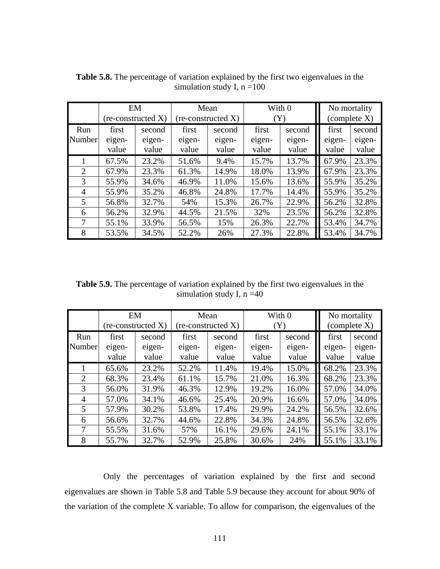|        |        | EM                   | Mean   |                             | With 0 |           |        | No mortality          |  |
|--------|--------|----------------------|--------|-----------------------------|--------|-----------|--------|-----------------------|--|
|        |        | $(re-constructed X)$ |        | $(re\text{-}constructed X)$ |        | $(\rm Y)$ |        | $\alpha$ (complete X) |  |
| Run    | first  | second               | first  | second                      | first  | second    | first  | second                |  |
| Number | eigen- | eigen-               | eigen- | eigen-                      | eigen- | eigen-    | eigen- | eigen-                |  |
|        | value  | value                | value  | value                       | value  | value     | value  | value                 |  |
|        | 67.5%  | 23.2%                | 51.6%  | 9.4%                        | 15.7%  | 13.7%     | 67.9%  | 23.3%                 |  |
| 2      | 67.9%  | 23.3%                | 61.3%  | 14.9%                       | 18.0%  | 13.9%     | 67.9%  | 23.3%                 |  |
| 3      | 55.9%  | 34.6%                | 46.9%  | 11.0%                       | 15.6%  | 13.6%     | 55.9%  | 35.2%                 |  |
| 4      | 55.9%  | 35.2%                | 46.8%  | 24.8%                       | 17.7%  | 14.4%     | 55.9%  | 35.2%                 |  |
| 5      | 56.8%  | 32.7%                | 54%    | 15.3%                       | 26.7%  | 22.9%     | 56.2%  | 32.8%                 |  |
| 6      | 56.2%  | 32.9%                | 44.5%  | 21.5%                       | 32%    | 23.5%     | 56.2%  | 32.8%                 |  |
| 7      | 55.1%  | 33.9%                | 56.5%  | 15%                         | 26.3%  | 22.7%     | 53.4%  | 34.7%                 |  |
| 8      | 53.5%  | 34.5%                | 52.2%  | 26%                         | 27.3%  | 22.8%     | 53.4%  | 34.7%                 |  |

**Table 5.8.** The percentage of variation explained by the first two eigenvalues in the simulation study I,  $n = 100$ 

**Table 5.9.** The percentage of variation explained by the first two eigenvalues in the simulation study I,  $n = 40$ 

|                |                             | EM     |        | Mean               |        | With 0 |  | No mortality |        |
|----------------|-----------------------------|--------|--------|--------------------|--------|--------|--|--------------|--------|
|                | $(re\text{-}constructed X)$ |        |        | (re-constructed X) | (Y)    |        |  | (complete X) |        |
| Run            | first                       | second | first  | second             | first  | second |  | first        | second |
| Number         | eigen-                      | eigen- | eigen- | eigen-             | eigen- | eigen- |  | eigen-       | eigen- |
|                | value                       | value  | value  | value              | value  | value  |  | value        | value  |
|                | 65.6%                       | 23.2%  | 52.2%  | 11.4%              | 19.4%  | 15.0%  |  | 68.2%        | 23.3%  |
| 2              | 68.3%                       | 23.4%  | 61.1%  | 15.7%              | 21.0%  | 16.3%  |  | 68.2%        | 23.3%  |
| 3              | 56.0%                       | 31.9%  | 46.3%  | 12.9%              | 19.2%  | 16.0%  |  | 57.0%        | 34.0%  |
| 4              | 57.0%                       | 34.1%  | 46.6%  | 25.4%              | 20.9%  | 16.6%  |  | 57.0%        | 34.0%  |
| $\mathfrak{H}$ | 57.9%                       | 30.2%  | 53.8%  | 17.4%              | 29.9%  | 24.2%  |  | 56.5%        | 32.6%  |
| 6              | 56.6%                       | 32.7%  | 44.6%  | 22.8%              | 34.3%  | 24.8%  |  | 56.5%        | 32.6%  |
| 7              | 55.5%                       | 31.6%  | 57%    | 16.1%              | 29.6%  | 24.1%  |  | 55.1%        | 33.1%  |
| 8              | 55.7%                       | 32.7%  | 52.9%  | 25.8%              | 30.6%  | 24%    |  | 55.1%        | 33.1%  |

Only the percentages of variation explained by the first and second eigenvalues are shown in Table 5.8 and Table 5.9 because they account for about 90% of the variation of the complete X variable. To allow for comparison, the eigenvalues of the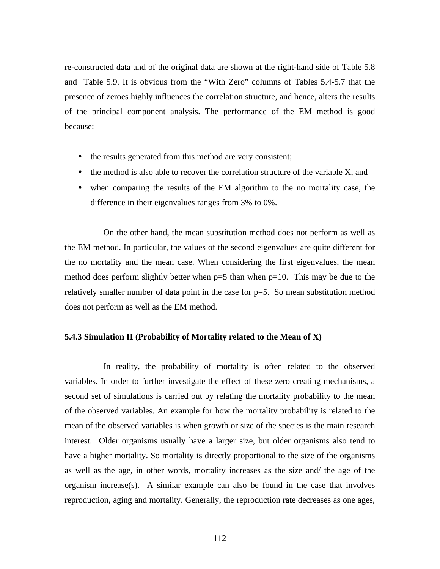re-constructed data and of the original data are shown at the right-hand side of Table 5.8 and Table 5.9. It is obvious from the "With Zero" columns of Tables 5.4-5.7 that the presence of zeroes highly influences the correlation structure, and hence, alters the results of the principal component analysis. The performance of the EM method is good because:

- the results generated from this method are very consistent;
- the method is also able to recover the correlation structure of the variable X, and
- when comparing the results of the EM algorithm to the no mortality case, the difference in their eigenvalues ranges from 3% to 0%.

On the other hand, the mean substitution method does not perform as well as the EM method. In particular, the values of the second eigenvalues are quite different for the no mortality and the mean case. When considering the first eigenvalues, the mean method does perform slightly better when  $p=5$  than when  $p=10$ . This may be due to the relatively smaller number of data point in the case for  $p=5$ . So mean substitution method does not perform as well as the EM method.

#### **5.4.3 Simulation II (Probability of Mortality related to the Mean of X)**

In reality, the probability of mortality is often related to the observed variables. In order to further investigate the effect of these zero creating mechanisms, a second set of simulations is carried out by relating the mortality probability to the mean of the observed variables. An example for how the mortality probability is related to the mean of the observed variables is when growth or size of the species is the main research interest. Older organisms usually have a larger size, but older organisms also tend to have a higher mortality. So mortality is directly proportional to the size of the organisms as well as the age, in other words, mortality increases as the size and/ the age of the organism increase(s). A similar example can also be found in the case that involves reproduction, aging and mortality. Generally, the reproduction rate decreases as one ages,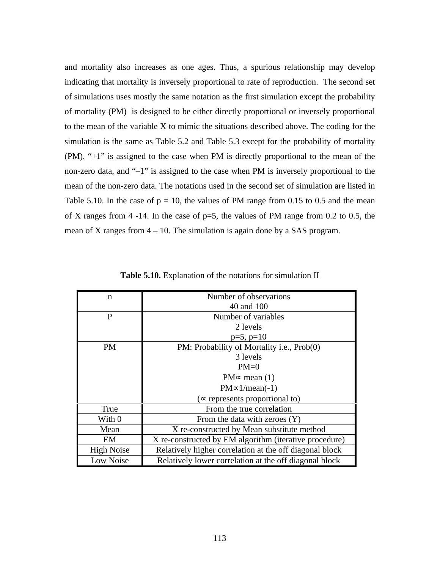and mortality also increases as one ages. Thus, a spurious relationship may develop indicating that mortality is inversely proportional to rate of reproduction. The second set of simulations uses mostly the same notation as the first simulation except the probability of mortality (PM) is designed to be either directly proportional or inversely proportional to the mean of the variable X to mimic the situations described above. The coding for the simulation is the same as Table 5.2 and Table 5.3 except for the probability of mortality (PM). "+1" is assigned to the case when PM is directly proportional to the mean of the non-zero data, and "–1" is assigned to the case when PM is inversely proportional to the mean of the non-zero data. The notations used in the second set of simulation are listed in Table 5.10. In the case of  $p = 10$ , the values of PM range from 0.15 to 0.5 and the mean of X ranges from  $4 - 14$ . In the case of  $p=5$ , the values of PM range from 0.2 to 0.5, the mean of X ranges from  $4 - 10$ . The simulation is again done by a SAS program.

| n                 | Number of observations                                  |  |  |  |  |  |
|-------------------|---------------------------------------------------------|--|--|--|--|--|
|                   | 40 and 100                                              |  |  |  |  |  |
| P                 | Number of variables                                     |  |  |  |  |  |
|                   | 2 levels                                                |  |  |  |  |  |
|                   | $p=5$ , $p=10$                                          |  |  |  |  |  |
| PМ                | PM: Probability of Mortality i.e., Prob(0)              |  |  |  |  |  |
|                   | 3 levels                                                |  |  |  |  |  |
|                   | $PM=0$                                                  |  |  |  |  |  |
|                   | $PM \approx$ mean (1)                                   |  |  |  |  |  |
|                   | $PM \propto 1/mean(-1)$                                 |  |  |  |  |  |
|                   | ( $\propto$ represents proportional to)                 |  |  |  |  |  |
| True              | From the true correlation                               |  |  |  |  |  |
| With 0            | From the data with zeroes $(Y)$                         |  |  |  |  |  |
| Mean              | X re-constructed by Mean substitute method              |  |  |  |  |  |
| EM                | X re-constructed by EM algorithm (iterative procedure)  |  |  |  |  |  |
| <b>High Noise</b> | Relatively higher correlation at the off diagonal block |  |  |  |  |  |
| Low Noise         | Relatively lower correlation at the off diagonal block  |  |  |  |  |  |

**Table 5.10.** Explanation of the notations for simulation II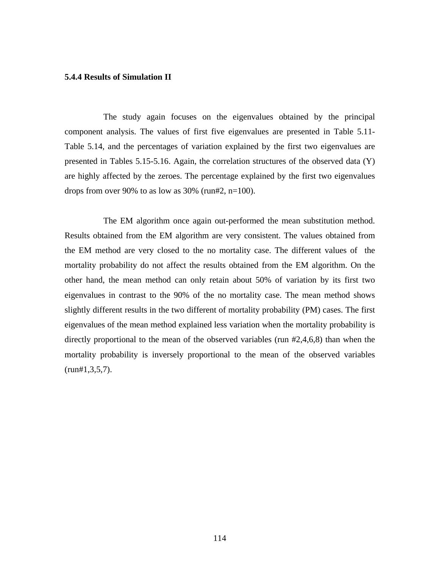#### **5.4.4 Results of Simulation II**

The study again focuses on the eigenvalues obtained by the principal component analysis. The values of first five eigenvalues are presented in Table 5.11- Table 5.14, and the percentages of variation explained by the first two eigenvalues are presented in Tables 5.15-5.16. Again, the correlation structures of the observed data (Y) are highly affected by the zeroes. The percentage explained by the first two eigenvalues drops from over 90% to as low as  $30\%$  (run#2, n=100).

The EM algorithm once again out-performed the mean substitution method. Results obtained from the EM algorithm are very consistent. The values obtained from the EM method are very closed to the no mortality case. The different values of the mortality probability do not affect the results obtained from the EM algorithm. On the other hand, the mean method can only retain about 50% of variation by its first two eigenvalues in contrast to the 90% of the no mortality case. The mean method shows slightly different results in the two different of mortality probability (PM) cases. The first eigenvalues of the mean method explained less variation when the mortality probability is directly proportional to the mean of the observed variables (run #2,4,6,8) than when the mortality probability is inversely proportional to the mean of the observed variables  $(run#1, 3, 5, 7)$ .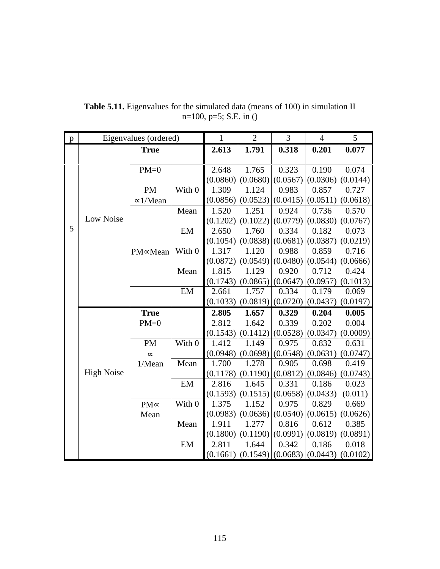| $\mathbf{p}$ |                   | Eigenvalues (ordered) |                            | $\mathbf{1}$ | $\overline{2}$ | 3        | $\overline{4}$ | 5                     |
|--------------|-------------------|-----------------------|----------------------------|--------------|----------------|----------|----------------|-----------------------|
|              |                   | <b>True</b>           |                            | 2.613        | 1.791          | 0.318    | 0.201          | 0.077                 |
|              |                   |                       |                            |              |                |          |                |                       |
|              |                   | $PM=0$                |                            | 2.648        | 1.765          | 0.323    | 0.190          | 0.074                 |
|              |                   |                       |                            | (0.0860)     | (0.0680)       | (0.0567) | (0.0306)       | (0.0144)              |
|              |                   | <b>PM</b>             | With 0                     | 1.309        | 1.124          | 0.983    | 0.857          | 0.727                 |
|              |                   | $\approx$ 1/Mean      |                            | (0.0856)     | (0.0523)       | (0.0415) | (0.0511)       | (0.0618)              |
|              |                   |                       | Mean                       | 1.520        | 1.251          | 0.924    | 0.736          | 0.570                 |
|              | Low Noise         |                       |                            | (0.1202)     | (0.1022)       | (0.0779) | (0.0830)       | (0.0767)              |
| 5            |                   |                       | EM                         | 2.650        | 1.760          | 0.334    | 0.182          | 0.073                 |
|              |                   |                       |                            | (0.1054)     | (0.0838)       | (0.0681) | (0.0387)       | (0.0219)              |
|              |                   | PM∝Mean               | With 0                     | 1.317        | 1.120          | 0.988    | 0.859          | 0.716                 |
|              |                   |                       |                            | (0.0872)     | (0.0549)       | (0.0480) | (0.0544)       | (0.0666)              |
|              |                   |                       | Mean                       | 1.815        | 1.129          | 0.920    | 0.712          | 0.424                 |
|              |                   |                       |                            | (0.1743)     | (0.0865)       | (0.0647) | (0.0957)       | (0.1013)              |
|              |                   |                       | EM                         | 2.661        | 1.757          | 0.334    | 0.179          | 0.069                 |
|              |                   |                       |                            | (0.1033)     | (0.0819)       | (0.0720) | (0.0437)       | (0.0197)              |
|              |                   | <b>True</b>           |                            | 2.805        | 1.657          | 0.329    | 0.204          | 0.005                 |
|              |                   | $PM=0$                |                            | 2.812        | 1.642          | 0.339    | 0.202          | 0.004                 |
|              |                   |                       |                            | (0.1543)     | (0.1412)       | (0.0528) | (0.0347)       | (0.0009)              |
|              |                   | PM                    | With 0                     | 1.412        | 1.149          | 0.975    | 0.832          | 0.631                 |
|              |                   | $\infty$              |                            | (0.0948)     | (0.0698)       | (0.0548) | (0.0631)       | (0.0747)              |
|              |                   | 1/Mean                | Mean                       | 1.700        | 1.278          | 0.905    | 0.698          | 0.419                 |
|              | <b>High Noise</b> |                       |                            | (0.1178)     | (0.1190)       | (0.0812) | (0.0846)       | (0.0743)              |
|              |                   |                       | $\boldsymbol{\mathrm{EM}}$ | 2.816        | 1.645          | 0.331    | 0.186          | 0.023                 |
|              |                   |                       |                            | (0.1593)     | (0.1515)       | (0.0658) | (0.0433)       | (0.011)               |
|              |                   | $PM \propto$          | With 0                     | 1.375        | 1.152          | 0.975    | 0.829          | 0.669                 |
|              |                   | Mean                  |                            | (0.0983)     | (0.0636)       | (0.0540) | (0.0615)       | (0.0626)              |
|              |                   |                       | Mean                       | 1.911        | 1.277          | 0.816    | 0.612          | 0.385                 |
|              |                   |                       |                            | (0.1800)     | (0.1190)       | (0.0991) | (0.0819)       | (0.0891)              |
|              |                   |                       | EM                         | 2.811        | 1.644          | 0.342    | 0.186          | 0.018                 |
|              |                   |                       |                            | (0.1661)     | (0.1549)       | (0.0683) |                | $(0.0443)$ $(0.0102)$ |

**Table 5.11.** Eigenvalues for the simulated data (means of 100) in simulation II n=100, p=5; S.E. in ()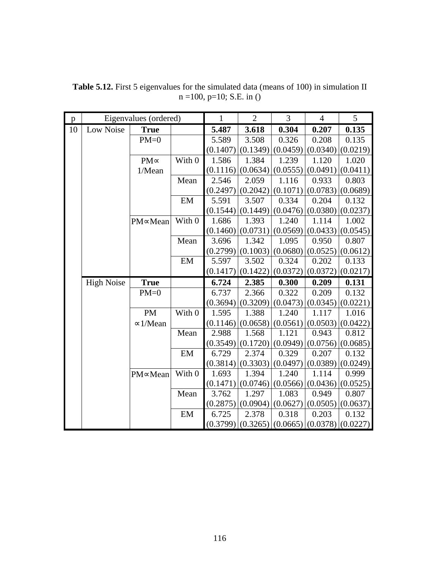| p  |                   | Eigenvalues (ordered) |        | $\mathbf{1}$ | $\overline{2}$        | $\overline{3}$ | $\overline{4}$ | 5        |
|----|-------------------|-----------------------|--------|--------------|-----------------------|----------------|----------------|----------|
| 10 | Low Noise         | <b>True</b>           |        | 5.487        | 3.618                 | 0.304          | 0.207          | 0.135    |
|    |                   | $PM=0$                |        | 5.589        | 3.508                 | 0.326          | 0.208          | 0.135    |
|    |                   |                       |        | (0.1407)     | (0.1349)              | (0.0459)       | (0.0340)       | (0.0219) |
|    |                   | $PM \propto$          | With 0 | 1.586        | 1.384                 | 1.239          | 1.120          | 1.020    |
|    |                   | 1/Mean                |        | (0.1116)     | (0.0634)              | (0.0555)       | (0.0491)       | (0.0411) |
|    |                   |                       | Mean   | 2.546        | 2.059                 | 1.116          | 0.933          | 0.803    |
|    |                   |                       |        | (0.2497)     | (0.2042)              | (0.1071)       | (0.0783)       | (0.0689) |
|    |                   |                       | EM     | 5.591        | 3.507                 | 0.334          | 0.204          | 0.132    |
|    |                   |                       |        | (0.1544)     | (0.1449)              | (0.0476)       | (0.0380)       | (0.0237) |
|    |                   | PM∝Mean               | With 0 | 1.686        | 1.393                 | 1.240          | 1.114          | 1.002    |
|    |                   |                       |        | (0.1460)     | (0.0731)              | (0.0569)       | (0.0433)       | (0.0545) |
|    |                   |                       | Mean   | 3.696        | 1.342                 | 1.095          | 0.950          | 0.807    |
|    |                   |                       |        | (0.2799)     | (0.1003)              | (0.0680)       | (0.0525)       | (0.0612) |
|    |                   |                       | EM     | 5.597        | 3.502                 | 0.324          | 0.202          | 0.133    |
|    |                   |                       |        | (0.1417)     | (0.1422)              | (0.0372)       | (0.0372)       | (0.0217) |
|    | <b>High Noise</b> | <b>True</b>           |        | 6.724        | 2.385                 | 0.300          | 0.209          | 0.131    |
|    |                   | $PM=0$                |        | 6.737        | 2.366                 | 0.322          | 0.209          | 0.132    |
|    |                   |                       |        | (0.3694)     | (0.3209)              | (0.0473)       | (0.0345)       | (0.0221) |
|    |                   | <b>PM</b>             | With 0 | 1.595        | 1.388                 | 1.240          | 1.117          | 1.016    |
|    |                   | $\approx$ 1/Mean      |        | (0.1146)     | (0.0658)              | (0.0561)       | (0.0503)       | (0.0422) |
|    |                   |                       | Mean   | 2.988        | 1.568                 | 1.121          | 0.943          | 0.812    |
|    |                   |                       |        | (0.3549)     | (0.1720)              | (0.0949)       | (0.0756)       | (0.0685) |
|    |                   |                       | EM     | 6.729        | 2.374                 | 0.329          | 0.207          | 0.132    |
|    |                   |                       |        | (0.3814)     | (0.3303)              | (0.0497)       | (0.0389)       | (0.0249) |
|    |                   | PM∝Mean               | With 0 | 1.693        | 1.394                 | 1.240          | 1.114          | 0.999    |
|    |                   |                       |        | (0.1471)     | (0.0746)              | (0.0566)       | (0.0436)       | (0.0525) |
|    |                   |                       | Mean   | 3.762        | 1.297                 | 1.083          | 0.949          | 0.807    |
|    |                   |                       |        | (0.2875)     | (0.0904)              | (0.0627)       | (0.0505)       | (0.0637) |
|    |                   |                       | EM     | 6.725        | 2.378                 | 0.318          | 0.203          | 0.132    |
|    |                   |                       |        |              | $(0.3799)$ $(0.3265)$ | (0.0665)       | (0.0378)       | (0.0227) |

**Table 5.12.** First 5 eigenvalues for the simulated data (means of 100) in simulation II  $n = 100$ ,  $p=10$ ; S.E. in ()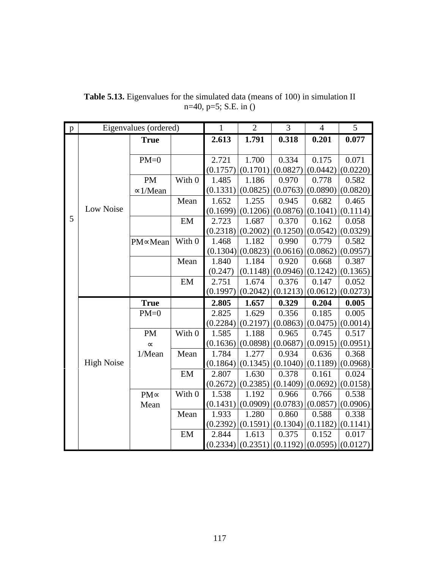| $\mathbf{p}$ |                   | Eigenvalues (ordered) |        | 1        | $\overline{2}$        | 3        | $\overline{4}$ | 5                     |
|--------------|-------------------|-----------------------|--------|----------|-----------------------|----------|----------------|-----------------------|
|              |                   | <b>True</b>           |        | 2.613    | 1.791                 | 0.318    | 0.201          | 0.077                 |
|              |                   |                       |        |          |                       |          |                |                       |
|              |                   | $PM=0$                |        | 2.721    | 1.700                 | 0.334    | 0.175          | 0.071                 |
|              |                   |                       |        | (0.1757) | (0.1701)              | (0.0827) | (0.0442)       | (0.0220)              |
|              |                   | PM                    | With 0 | 1.485    | 1.186                 | 0.970    | 0.778          | 0.582                 |
|              |                   | $\approx$ 1/Mean      |        | (0.1331) | (0.0825)              | (0.0763) | (0.0890)       | (0.0820)              |
|              |                   |                       | Mean   | 1.652    | 1.255                 | 0.945    | 0.682          | 0.465                 |
|              | Low Noise         |                       |        | (0.1699) | (0.1206)              | (0.0876) | (0.1041)       | (0.1114)              |
| 5            |                   |                       | EM     | 2.723    | 1.687                 | 0.370    | 0.162          | 0.058                 |
|              |                   |                       |        | (0.2318) | (0.2002)              | (0.1250) | (0.0542)       | (0.0329)              |
|              |                   | PM∝Mean               | With 0 | 1.468    | 1.182                 | 0.990    | 0.779          | 0.582                 |
|              |                   |                       |        |          | $(0.1304)$ $(0.0823)$ | (0.0616) | (0.0862)       | (0.0957)              |
|              |                   |                       | Mean   | 1.840    | 1.184                 | 0.920    | 0.668          | 0.387                 |
|              |                   |                       |        | (0.247)  | (0.1148)              | (0.0946) | (0.1242)       | (0.1365)              |
|              |                   |                       | EM     | 2.751    | 1.674                 | 0.376    | 0.147          | 0.052                 |
|              |                   |                       |        | (0.1997) | (0.2042)              | (0.1213) | (0.0612)       | (0.0273)              |
|              |                   | <b>True</b>           |        | 2.805    | 1.657                 | 0.329    | 0.204          | 0.005                 |
|              |                   | $PM=0$                |        | 2.825    | 1.629                 | 0.356    | 0.185          | 0.005                 |
|              |                   |                       |        | (0.2284) | (0.2197)              | (0.0863) | (0.0475)       | (0.0014)              |
|              |                   | <b>PM</b>             | With 0 | 1.585    | 1.188                 | 0.965    | 0.745          | 0.517                 |
|              |                   | $\infty$              |        | (0.1636) | (0.0898)              | (0.0687) | (0.0915)       | (0.0951)              |
|              |                   | 1/Mean                | Mean   | 1.784    | 1.277                 | 0.934    | 0.636          | 0.368                 |
|              | <b>High Noise</b> |                       |        | (0.1864) | (0.1345)              | (0.1040) | (0.1189)       | (0.0968)              |
|              |                   |                       | EM     | 2.807    | 1.630                 | 0.378    | 0.161          | 0.024                 |
|              |                   |                       |        | (0.2672) | (0.2385)              | (0.1409) | (0.0692)       | (0.0158)              |
|              |                   | $PM \propto$          | With 0 | 1.538    | 1.192                 | 0.966    | 0.766          | 0.538                 |
|              |                   | Mean                  |        | (0.1431) | (0.0909)              | (0.0783) | (0.0857)       | (0.0906)              |
|              |                   |                       | Mean   | 1.933    | 1.280                 | 0.860    | 0.588          | 0.338                 |
|              |                   |                       |        | (0.2392) | (0.1591)              | (0.1304) | (0.1182)       | (0.1141)              |
|              |                   |                       | EM     | 2.844    | 1.613                 | 0.375    | 0.152          | 0.017                 |
|              |                   |                       |        |          | $(0.2334)$ $(0.2351)$ | (0.1192) |                | $(0.0595)$ $(0.0127)$ |

**Table 5.13.** Eigenvalues for the simulated data (means of 100) in simulation II n=40, p=5; S.E. in ()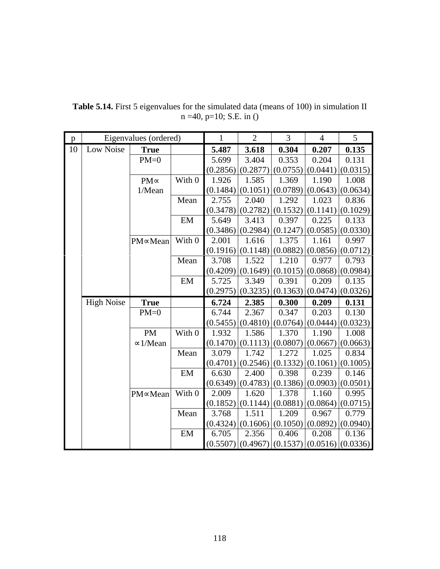| $\mathbf{p}$ | Eigenvalues (ordered) |                  | $\mathbf{1}$ | $\overline{2}$ | 3                     | $\overline{4}$ | 5        |                                  |
|--------------|-----------------------|------------------|--------------|----------------|-----------------------|----------------|----------|----------------------------------|
| 10           | Low Noise             | <b>True</b>      |              | 5.487          | 3.618                 | 0.304          | 0.207    | 0.135                            |
|              |                       | $PM=0$           |              | 5.699          | 3.404                 | 0.353          | 0.204    | 0.131                            |
|              |                       |                  |              | (0.2856)       | (0.2877)              | (0.0755)       |          | $(0.0441)$ $(0.0315)$            |
|              |                       | $PM \propto$     | With 0       | 1.926          | 1.585                 | 1.369          | 1.190    | 1.008                            |
|              |                       | 1/Mean           |              | (0.1484)       | (0.1051)              | (0.0789)       | (0.0643) | (0.0634)                         |
|              |                       |                  | Mean         | 2.755          | 2.040                 | 1.292          | 1.023    | 0.836                            |
|              |                       |                  |              | (0.3478)       | (0.2782)              | (0.1532)       | (0.1141) | (0.1029)                         |
|              |                       |                  | EM           | 5.649          | 3.413                 | 0.397          | 0.225    | 0.133                            |
|              |                       |                  |              | (0.3486)       | (0.2984)              | (0.1247)       | (0.0585) | (0.0330)                         |
|              |                       | PM∝Mean          | With 0       | 2.001          | 1.616                 | 1.375          | 1.161    | 0.997                            |
|              |                       |                  |              | (0.1916)       | (0.1148)              | (0.0882)       | (0.0856) | (0.0712)                         |
|              |                       |                  | Mean         | 3.708          | 1.522                 | 1.210          | 0.977    | 0.793                            |
|              |                       |                  |              | (0.4209)       | (0.1649)              | (0.1015)       | (0.0868) | (0.0984)                         |
|              |                       |                  | EM           | 5.725          | 3.349                 | 0.391          | 0.209    | 0.135                            |
|              |                       |                  |              | (0.2975)       | (0.3235)              | (0.1363)       | (0.0474) | (0.0326)                         |
|              | <b>High Noise</b>     | <b>True</b>      |              | 6.724          | 2.385                 | 0.300          | 0.209    | 0.131                            |
|              |                       | $PM=0$           |              | 6.744          | 2.367                 | 0.347          | 0.203    | 0.130                            |
|              |                       |                  |              | (0.5455)       | (0.4810)              | (0.0764)       | (0.0444) | (0.0323)                         |
|              |                       | <b>PM</b>        | With 0       | 1.932          | 1.586                 | 1.370          | 1.190    | 1.008                            |
|              |                       | $\approx$ 1/Mean |              | (0.1470)       | (0.1113)              | (0.0807)       | (0.0667) | (0.0663)                         |
|              |                       |                  | Mean         | 3.079          | 1.742                 | 1.272          | 1.025    | 0.834                            |
|              |                       |                  |              | (0.4701)       | (0.2546)              | (0.1332)       | (0.1061) | (0.1005)                         |
|              |                       |                  | EM           | 6.630          | 2.400                 | 0.398          | 0.239    | 0.146                            |
|              |                       |                  |              | (0.6349)       | (0.4783)              | (0.1386)       | (0.0903) | (0.0501)                         |
|              |                       | PM∝Mean          | With 0       | 2.009          | 1.620                 | 1.378          | 1.160    | 0.995                            |
|              |                       |                  |              | (0.1852)       | (0.1144)              | (0.0881)       | (0.0864) | (0.0715)                         |
|              |                       |                  | Mean         | 3.768          | 1.511                 | 1.209          | 0.967    | 0.779                            |
|              |                       |                  |              | (0.4324)       | (0.1606)              | (0.1050)       | (0.0892) | (0.0940)                         |
|              |                       |                  | EM           | 6.705          | 2.356                 | 0.406          | 0.208    | 0.136                            |
|              |                       |                  |              |                | $(0.5507)$ $(0.4967)$ |                |          | $(0.1537)$ $(0.0516)$ $(0.0336)$ |

**Table 5.14.** First 5 eigenvalues for the simulated data (means of 100) in simulation II n =40, p=10; S.E. in ()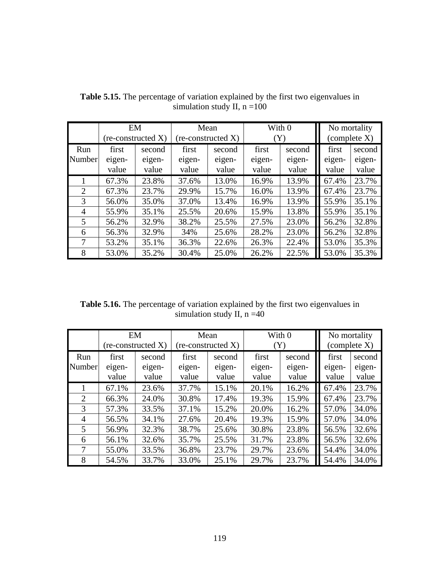|        | EM     |                    | Mean   |                             | With 0         |        | No mortality          |        |
|--------|--------|--------------------|--------|-----------------------------|----------------|--------|-----------------------|--------|
|        |        | (re-constructed X) |        | $(re\text{-}constructed X)$ | $(\mathrm{Y})$ |        | $\alpha$ (complete X) |        |
| Run    | first  | second             | first  | second                      | first          | second | first                 | second |
| Number | eigen- | eigen-             | eigen- | eigen-                      | eigen-         | eigen- | eigen-                | eigen- |
|        | value  | value              | value  | value                       | value          | value  | value                 | value  |
|        | 67.3%  | 23.8%              | 37.6%  | 13.0%                       | 16.9%          | 13.9%  | 67.4%                 | 23.7%  |
| 2      | 67.3%  | 23.7%              | 29.9%  | 15.7%                       | 16.0%          | 13.9%  | 67.4%                 | 23.7%  |
| 3      | 56.0%  | 35.0%              | 37.0%  | 13.4%                       | 16.9%          | 13.9%  | 55.9%                 | 35.1%  |
| 4      | 55.9%  | 35.1%              | 25.5%  | 20.6%                       | 15.9%          | 13.8%  | 55.9%                 | 35.1%  |
| 5      | 56.2%  | 32.9%              | 38.2%  | 25.5%                       | 27.5%          | 23.0%  | 56.2%                 | 32.8%  |
| 6      | 56.3%  | 32.9%              | 34%    | 25.6%                       | 28.2%          | 23.0%  | 56.2%                 | 32.8%  |
| 7      | 53.2%  | 35.1%              | 36.3%  | 22.6%                       | 26.3%          | 22.4%  | 53.0%                 | 35.3%  |
| 8      | 53.0%  | 35.2%              | 30.4%  | 25.0%                       | 26.2%          | 22.5%  | 53.0%                 | 35.3%  |

**Table 5.15.** The percentage of variation explained by the first two eigenvalues in simulation study II,  $n = 100$ 

**Table 5.16.** The percentage of variation explained by the first two eigenvalues in simulation study II,  $n = 40$ 

|               | EM                       | (re-constructed X)        | Mean<br>$(re\text{-}constructed X)$ |                           | With 0<br>(Y)            |                           | No mortality<br>$\alpha$ (complete X) |                           |
|---------------|--------------------------|---------------------------|-------------------------------------|---------------------------|--------------------------|---------------------------|---------------------------------------|---------------------------|
| Run<br>Number | first<br>eigen-<br>value | second<br>eigen-<br>value | first<br>eigen-<br>value            | second<br>eigen-<br>value | first<br>eigen-<br>value | second<br>eigen-<br>value | first<br>eigen-<br>value              | second<br>eigen-<br>value |
|               | 67.1%                    | 23.6%                     | 37.7%                               | 15.1%                     | 20.1%                    | 16.2%                     | 67.4%                                 | 23.7%                     |
| 2             | 66.3%                    | 24.0%                     | 30.8%                               | 17.4%                     | 19.3%                    | 15.9%                     | 67.4%                                 | 23.7%                     |
| 3             | 57.3%                    | 33.5%                     | 37.1%                               | 15.2%                     | 20.0%                    | 16.2%                     | 57.0%                                 | 34.0%                     |
| 4             | 56.5%                    | 34.1%                     | 27.6%                               | 20.4%                     | 19.3%                    | 15.9%                     | 57.0%                                 | 34.0%                     |
| 5             | 56.9%                    | 32.3%                     | 38.7%                               | 25.6%                     | 30.8%                    | 23.8%                     | 56.5%                                 | 32.6%                     |
| 6             | 56.1%                    | 32.6%                     | 35.7%                               | 25.5%                     | 31.7%                    | 23.8%                     | 56.5%                                 | 32.6%                     |
| 7             | 55.0%                    | 33.5%                     | 36.8%                               | 23.7%                     | 29.7%                    | 23.6%                     | 54.4%                                 | 34.0%                     |
| 8             | 54.5%                    | 33.7%                     | 33.0%                               | 25.1%                     | 29.7%                    | 23.7%                     | 54.4%                                 | 34.0%                     |